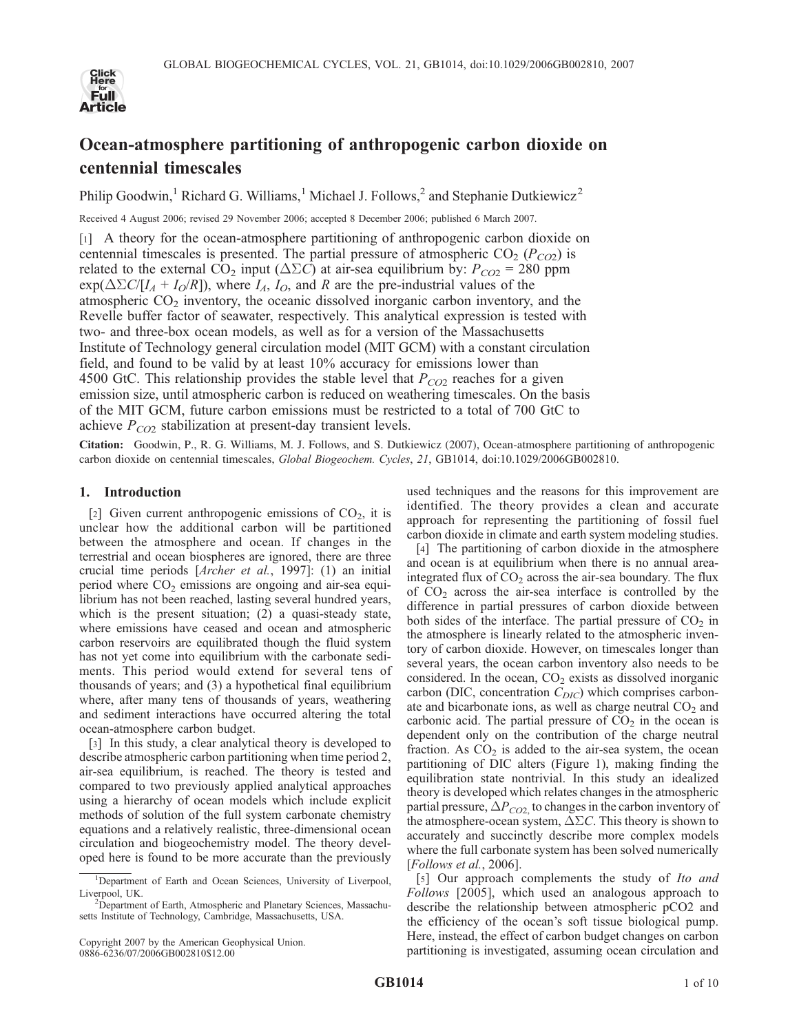

# Ocean-atmosphere partitioning of anthropogenic carbon dioxide on centennial timescales

Philip Goodwin,<sup>1</sup> Richard G. Williams,<sup>1</sup> Michael J. Follows,<sup>2</sup> and Stephanie Dutkiewicz<sup>2</sup>

Received 4 August 2006; revised 29 November 2006; accepted 8 December 2006; published 6 March 2007.

[1] A theory for the ocean-atmosphere partitioning of anthropogenic carbon dioxide on centennial timescales is presented. The partial pressure of atmospheric  $CO<sub>2</sub> (P<sub>CO2</sub>)$  is related to the external CO<sub>2</sub> input ( $\Delta \Sigma C$ ) at air-sea equilibrium by:  $P_{CO2} = 280$  ppm  $\exp(\Delta \Sigma C/[I_A + I_O/R])$ , where  $I_A$ ,  $I_O$ , and R are the pre-industrial values of the atmospheric  $CO<sub>2</sub>$  inventory, the oceanic dissolved inorganic carbon inventory, and the Revelle buffer factor of seawater, respectively. This analytical expression is tested with two- and three-box ocean models, as well as for a version of the Massachusetts Institute of Technology general circulation model (MIT GCM) with a constant circulation field, and found to be valid by at least 10% accuracy for emissions lower than 4500 GtC. This relationship provides the stable level that  $P_{CO2}$  reaches for a given emission size, until atmospheric carbon is reduced on weathering timescales. On the basis of the MIT GCM, future carbon emissions must be restricted to a total of 700 GtC to achieve  $P_{CO2}$  stabilization at present-day transient levels.

Citation: Goodwin, P., R. G. Williams, M. J. Follows, and S. Dutkiewicz (2007), Ocean-atmosphere partitioning of anthropogenic carbon dioxide on centennial timescales, Global Biogeochem. Cycles, 21, GB1014, doi:10.1029/2006GB002810.

# 1. Introduction

[2] Given current anthropogenic emissions of  $CO<sub>2</sub>$ , it is unclear how the additional carbon will be partitioned between the atmosphere and ocean. If changes in the terrestrial and ocean biospheres are ignored, there are three crucial time periods [Archer et al., 1997]: (1) an initial period where  $CO<sub>2</sub>$  emissions are ongoing and air-sea equilibrium has not been reached, lasting several hundred years, which is the present situation; (2) a quasi-steady state, where emissions have ceased and ocean and atmospheric carbon reservoirs are equilibrated though the fluid system has not yet come into equilibrium with the carbonate sediments. This period would extend for several tens of thousands of years; and (3) a hypothetical final equilibrium where, after many tens of thousands of years, weathering and sediment interactions have occurred altering the total ocean-atmosphere carbon budget.

[3] In this study, a clear analytical theory is developed to describe atmospheric carbon partitioning when time period 2, air-sea equilibrium, is reached. The theory is tested and compared to two previously applied analytical approaches using a hierarchy of ocean models which include explicit methods of solution of the full system carbonate chemistry equations and a relatively realistic, three-dimensional ocean circulation and biogeochemistry model. The theory developed here is found to be more accurate than the previously used techniques and the reasons for this improvement are identified. The theory provides a clean and accurate approach for representing the partitioning of fossil fuel carbon dioxide in climate and earth system modeling studies.

[4] The partitioning of carbon dioxide in the atmosphere and ocean is at equilibrium when there is no annual areaintegrated flux of  $CO<sub>2</sub>$  across the air-sea boundary. The flux of  $CO<sub>2</sub>$  across the air-sea interface is controlled by the difference in partial pressures of carbon dioxide between both sides of the interface. The partial pressure of  $CO<sub>2</sub>$  in the atmosphere is linearly related to the atmospheric inventory of carbon dioxide. However, on timescales longer than several years, the ocean carbon inventory also needs to be considered. In the ocean,  $CO<sub>2</sub>$  exists as dissolved inorganic carbon (DIC, concentration  $C_{DIC}$ ) which comprises carbonate and bicarbonate ions, as well as charge neutral  $CO<sub>2</sub>$  and carbonic acid. The partial pressure of  $CO<sub>2</sub>$  in the ocean is dependent only on the contribution of the charge neutral fraction. As  $CO<sub>2</sub>$  is added to the air-sea system, the ocean partitioning of DIC alters (Figure 1), making finding the equilibration state nontrivial. In this study an idealized theory is developed which relates changes in the atmospheric partial pressure,  $\Delta P_{CO2}$  to changes in the carbon inventory of the atmosphere-ocean system,  $\Delta \Sigma C$ . This theory is shown to accurately and succinctly describe more complex models where the full carbonate system has been solved numerically [Follows et al., 2006].

[5] Our approach complements the study of Ito and Follows [2005], which used an analogous approach to describe the relationship between atmospheric pCO2 and the efficiency of the ocean's soft tissue biological pump. Here, instead, the effect of carbon budget changes on carbon partitioning is investigated, assuming ocean circulation and

<sup>&</sup>lt;sup>1</sup>Department of Earth and Ocean Sciences, University of Liverpool, Liverpool, UK.

<sup>&</sup>lt;sup>2</sup>Department of Earth, Atmospheric and Planetary Sciences, Massachusetts Institute of Technology, Cambridge, Massachusetts, USA.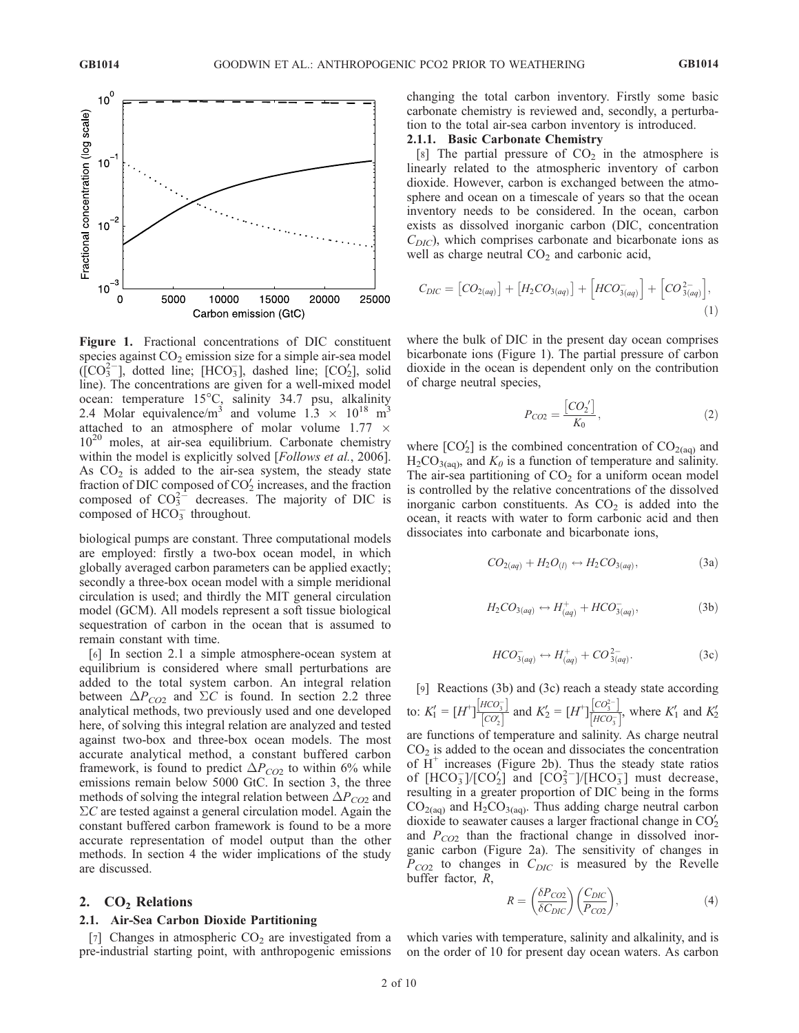

Figure 1. Fractional concentrations of DIC constituent species against  $CO<sub>2</sub>$  emission size for a simple air-sea model  $(\text{[CO]}^{2-})$ , dotted line; [HCO<sub>3</sub>], dashed line; [CO<sub>2</sub>], solid line). The concentrations are given for a well-mixed model ocean: temperature 15°C, salinity 34.7 psu, alkalinity 2.4 Molar equivalence/m<sup>3</sup> and volume  $1.3 \times 10^{18}$  m<sup>3</sup> attached to an atmosphere of molar volume  $1.77 \times$  $10^{20}$  moles, at air-sea equilibrium. Carbonate chemistry within the model is explicitly solved [Follows et al., 2006]. As  $CO<sub>2</sub>$  is added to the air-sea system, the steady state fraction of DIC composed of  $CO<sub>2</sub>$  increases, and the fraction composed of  $CO_3^{2-}$  decreases. The majority of DIC is composed of  $HCO_3^-$  throughout.

biological pumps are constant. Three computational models are employed: firstly a two-box ocean model, in which globally averaged carbon parameters can be applied exactly; secondly a three-box ocean model with a simple meridional circulation is used; and thirdly the MIT general circulation model (GCM). All models represent a soft tissue biological sequestration of carbon in the ocean that is assumed to remain constant with time.

[6] In section 2.1 a simple atmosphere-ocean system at equilibrium is considered where small perturbations are added to the total system carbon. An integral relation between  $\Delta P_{CO2}$  and  $\Sigma C$  is found. In section 2.2 three analytical methods, two previously used and one developed here, of solving this integral relation are analyzed and tested against two-box and three-box ocean models. The most accurate analytical method, a constant buffered carbon framework, is found to predict  $\Delta P_{CO2}$  to within 6% while emissions remain below 5000 GtC. In section 3, the three methods of solving the integral relation between  $\Delta P_{CO2}$  and  $\Sigma C$  are tested against a general circulation model. Again the constant buffered carbon framework is found to be a more accurate representation of model output than the other methods. In section 4 the wider implications of the study are discussed.

# 2.  $CO<sub>2</sub>$  Relations

# 2.1. Air-Sea Carbon Dioxide Partitioning

[7] Changes in atmospheric  $CO<sub>2</sub>$  are investigated from a pre-industrial starting point, with anthropogenic emissions

changing the total carbon inventory. Firstly some basic carbonate chemistry is reviewed and, secondly, a perturbation to the total air-sea carbon inventory is introduced.

#### 2.1.1. Basic Carbonate Chemistry

[8] The partial pressure of  $CO<sub>2</sub>$  in the atmosphere is linearly related to the atmospheric inventory of carbon dioxide. However, carbon is exchanged between the atmosphere and ocean on a timescale of years so that the ocean inventory needs to be considered. In the ocean, carbon exists as dissolved inorganic carbon (DIC, concentration  $C_{DIC}$ , which comprises carbonate and bicarbonate ions as well as charge neutral  $CO<sub>2</sub>$  and carbonic acid,

$$
C_{DIC} = [CO_{2(aq)}] + [H_2CO_{3(aq)}] + [HCO_{3(aq)}^-] + [CO_{3(aq)}^{2-}] \tag{1}
$$

where the bulk of DIC in the present day ocean comprises bicarbonate ions (Figure 1). The partial pressure of carbon dioxide in the ocean is dependent only on the contribution of charge neutral species,

$$
P_{CO2} = \frac{[CO_2']}{K_0},\tag{2}
$$

where  $[CO_2']$  is the combined concentration of  $CO_{2(aq)}$  and  $H_2CO_{3(aq)}$ , and  $K_0$  is a function of temperature and salinity. The air-sea partitioning of  $CO<sub>2</sub>$  for a uniform ocean model is controlled by the relative concentrations of the dissolved inorganic carbon constituents. As  $CO<sub>2</sub>$  is added into the ocean, it reacts with water to form carbonic acid and then dissociates into carbonate and bicarbonate ions,

$$
CO_{2(aq)} + H_2O_{(l)} \leftrightarrow H_2CO_{3(aq)},
$$
\n(3a)

$$
H_2CO_{3(aq)} \leftrightarrow H^+_{(aq)} + HCO^-_{3(aq)},\tag{3b}
$$

$$
HCO_{3(aq)}^{-} \leftrightarrow H_{(aq)}^{+} + CO_{3(aq)}^{2-}.
$$
 (3c)

[9] Reactions (3b) and (3c) reach a steady state according to:  $K_1' = [H^+] \frac{[HCO_3^-]}{[CO]}$  $\frac{HCO_3^-}{[CO_2']}$  and  $K_2' = [H^+] \frac{[CO_3^{2-}]}{[HCO_3]}$  $\frac{[CO_3^{2-}]}{[HCO_3^-]}$ , where  $K'_1$  and  $K'_2$ are functions of temperature and salinity. As charge neutral  $CO<sub>2</sub>$  is added to the ocean and dissociates the concentration of  $H^+$  increases (Figure 2b). Thus the steady state ratios of  $[HCO<sub>3</sub><sup>-</sup>]/[CO<sub>2</sub><sup>2</sup>]$  and  $[CO<sub>3</sub><sup>-</sup>]/[HCO<sub>3</sub><sup>-</sup>]$  must decrease, resulting in a greater proportion of DIC being in the forms  $CO<sub>2(aq)</sub>$  and  $H<sub>2</sub>CO<sub>3(aq)</sub>$ . Thus adding charge neutral carbon dioxide to seawater causes a larger fractional change in  $CO<sub>2</sub>$ and  $P_{CO2}$  than the fractional change in dissolved inorganic carbon (Figure 2a). The sensitivity of changes in  $P_{CO2}$  to changes in  $C_{DIC}$  is measured by the Revelle buffer factor, R,

$$
R = \left(\frac{\delta P_{CO2}}{\delta C_{DIC}}\right) \left(\frac{C_{DIC}}{P_{CO2}}\right),\tag{4}
$$

which varies with temperature, salinity and alkalinity, and is on the order of 10 for present day ocean waters. As carbon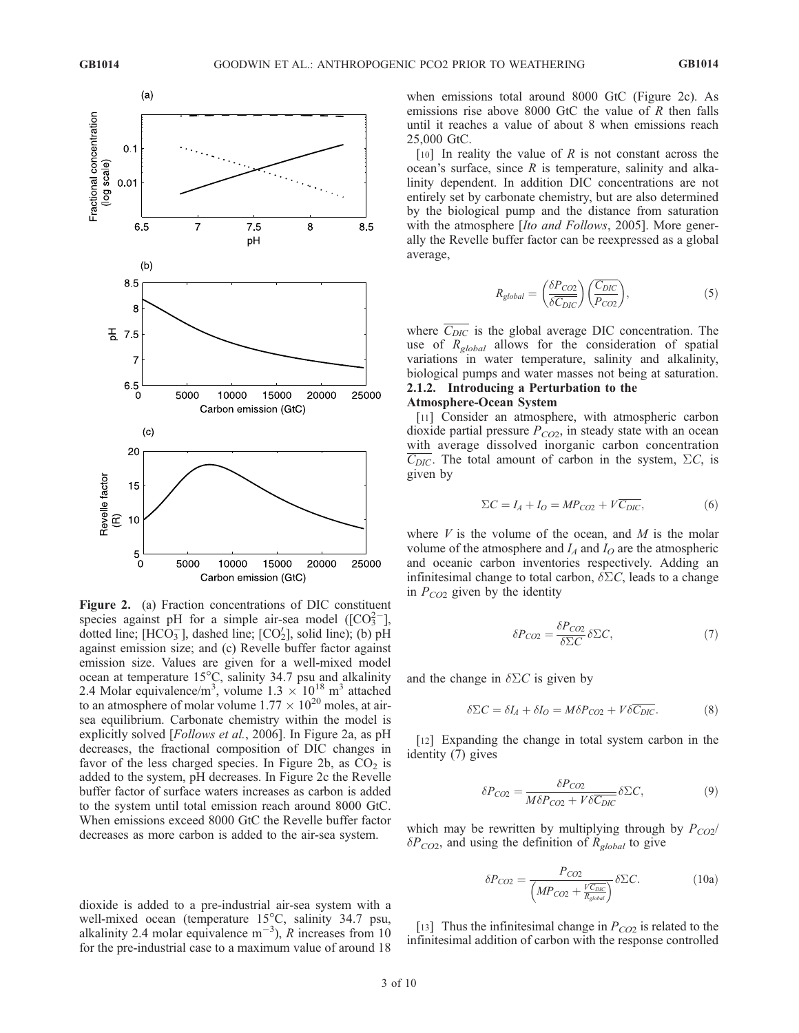

Figure 2. (a) Fraction concentrations of DIC constituent species against pH for a simple air-sea model ( $[CO_3^{2-}]$ , dotted line; [HCO<sub>3</sub>], dashed line; [CO<sub>2</sub>], solid line); (b) pH against emission size; and (c) Revelle buffer factor against emission size. Values are given for a well-mixed model ocean at temperature  $15^{\circ}$ C, salinity 34.7 psu and alkalinity 2.4 Molar equivalence/m<sup>3</sup>, volume  $1.3 \times 10^{18}$  m<sup>3</sup> attached to an atmosphere of molar volume  $1.77 \times 10^{20}$  moles, at airsea equilibrium. Carbonate chemistry within the model is explicitly solved [Follows et al., 2006]. In Figure 2a, as pH decreases, the fractional composition of DIC changes in favor of the less charged species. In Figure 2b, as  $CO<sub>2</sub>$  is added to the system, pH decreases. In Figure 2c the Revelle buffer factor of surface waters increases as carbon is added to the system until total emission reach around 8000 GtC. When emissions exceed 8000 GtC the Revelle buffer factor decreases as more carbon is added to the air-sea system.

dioxide is added to a pre-industrial air-sea system with a well-mixed ocean (temperature  $15^{\circ}$ C, salinity 34.7 psu, alkalinity 2.4 molar equivalence  $m^{-3}$ ), R increases from 10 for the pre-industrial case to a maximum value of around 18 when emissions total around 8000 GtC (Figure 2c). As emissions rise above 8000 GtC the value of  $R$  then falls until it reaches a value of about 8 when emissions reach 25,000 GtC.

[10] In reality the value of R is not constant across the ocean's surface, since  $R$  is temperature, salinity and alkalinity dependent. In addition DIC concentrations are not entirely set by carbonate chemistry, but are also determined by the biological pump and the distance from saturation with the atmosphere [*Ito and Follows*, 2005]. More generally the Revelle buffer factor can be reexpressed as a global average,

$$
R_{global} = \left(\frac{\delta P_{CO2}}{\delta \overline{C_{DIC}}}\right) \left(\frac{\overline{C_{DIC}}}{P_{CO2}}\right),\tag{5}
$$

where  $\overline{C_{DIC}}$  is the global average DIC concentration. The use of  $R_{global}$  allows for the consideration of spatial variations in water temperature, salinity and alkalinity, biological pumps and water masses not being at saturation. 2.1.2. Introducing a Perturbation to the Atmosphere-Ocean System

# [11] Consider an atmosphere, with atmospheric carbon dioxide partial pressure  $P_{CO2}$ , in steady state with an ocean with average dissolved inorganic carbon concentration  $\overline{C_{DIC}}$ . The total amount of carbon in the system,  $\Sigma C$ , is given by

$$
\Sigma C = I_A + I_O = MP_{CO2} + V\overline{C_{DIC}},\tag{6}
$$

where  $V$  is the volume of the ocean, and  $M$  is the molar volume of the atmosphere and  $I_A$  and  $I_O$  are the atmospheric and oceanic carbon inventories respectively. Adding an infinitesimal change to total carbon,  $\delta \Sigma C$ , leads to a change in  $P_{CO2}$  given by the identity

$$
\delta P_{CO2} = \frac{\delta P_{CO2}}{\delta \Sigma C} \delta \Sigma C, \qquad (7)
$$

and the change in  $\delta \Sigma C$  is given by

$$
\delta \Sigma C = \delta I_A + \delta I_O = M \delta P_{CO2} + V \delta \overline{C_{DIC}}.
$$
 (8)

[12] Expanding the change in total system carbon in the identity (7) gives

$$
\delta P_{CO2} = \frac{\delta P_{CO2}}{M \delta P_{CO2} + V \delta \overline{C}_{DIC}} \delta \Sigma C, \tag{9}
$$

which may be rewritten by multiplying through by  $P_{CO2}$ /  $\delta P_{CO2}$ , and using the definition of  $R_{global}$  to give

$$
\delta P_{CO2} = \frac{P_{CO2}}{\left(MP_{CO2} + \frac{V\overline{C_{DIC}}}{R_{global}}\right)} \delta \Sigma C.
$$
 (10a)

[13] Thus the infinitesimal change in  $P_{CO2}$  is related to the infinitesimal addition of carbon with the response controlled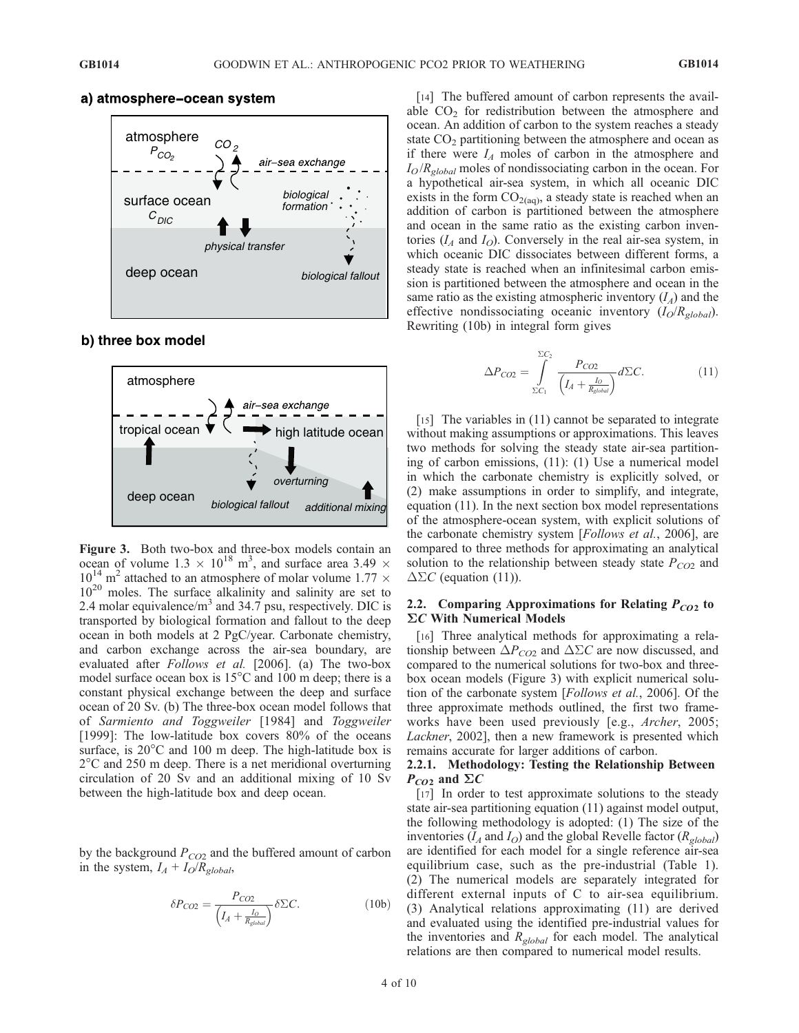

# a) atmosphere-ocean system

#### **b) three box model**



Figure 3. Both two-box and three-box models contain an ocean of volume 1.3  $\times$  10<sup>18</sup> m<sup>3</sup>, and surface area 3.49  $\times$  $10^{14}$  m<sup>2</sup> attached to an atmosphere of molar volume 1.77  $\times$  $10^{20}$  moles. The surface alkalinity and salinity are set to 2.4 molar equivalence/ $m<sup>3</sup>$  and 34.7 psu, respectively. DIC is transported by biological formation and fallout to the deep ocean in both models at 2 PgC/year. Carbonate chemistry, and carbon exchange across the air-sea boundary, are evaluated after Follows et al. [2006]. (a) The two-box model surface ocean box is  $15^{\circ}$ C and 100 m deep; there is a constant physical exchange between the deep and surface ocean of 20 Sv. (b) The three-box ocean model follows that of Sarmiento and Toggweiler [1984] and Toggweiler [1999]: The low-latitude box covers 80% of the oceans surface, is  $20^{\circ}$ C and 100 m deep. The high-latitude box is  $2^{\circ}$ C and 250 m deep. There is a net meridional overturning circulation of 20 Sv and an additional mixing of 10 Sv between the high-latitude box and deep ocean.

by the background  $P_{CO2}$  and the buffered amount of carbon in the system,  $I_A + I_O/R_{global}$ ,

$$
\delta P_{CO2} = \frac{P_{CO2}}{\left(I_A + \frac{I_O}{R_{global}}\right)} \delta \Sigma C.
$$
 (10b)

[14] The buffered amount of carbon represents the available  $CO<sub>2</sub>$  for redistribution between the atmosphere and ocean. An addition of carbon to the system reaches a steady state  $CO<sub>2</sub>$  partitioning between the atmosphere and ocean as if there were  $I_A$  moles of carbon in the atmosphere and  $I_O/R_{global}$  moles of nondissociating carbon in the ocean. For a hypothetical air-sea system, in which all oceanic DIC exists in the form  $CO<sub>2(aq)</sub>$ , a steady state is reached when an addition of carbon is partitioned between the atmosphere and ocean in the same ratio as the existing carbon inventories  $(I_A \text{ and } I_O)$ . Conversely in the real air-sea system, in which oceanic DIC dissociates between different forms, a steady state is reached when an infinitesimal carbon emission is partitioned between the atmosphere and ocean in the same ratio as the existing atmospheric inventory  $(I_A)$  and the effective nondissociating oceanic inventory  $(I_O/R_{global})$ . Rewriting (10b) in integral form gives

$$
\Delta P_{CO2} = \int_{\Sigma C_1}^{\Sigma C_2} \frac{P_{CO2}}{\left(I_A + \frac{I_O}{R_{global}}\right)} d\Sigma C.
$$
 (11)

[15] The variables in (11) cannot be separated to integrate without making assumptions or approximations. This leaves two methods for solving the steady state air-sea partitioning of carbon emissions, (11): (1) Use a numerical model in which the carbonate chemistry is explicitly solved, or (2) make assumptions in order to simplify, and integrate, equation (11). In the next section box model representations of the atmosphere-ocean system, with explicit solutions of the carbonate chemistry system [Follows et al., 2006], are compared to three methods for approximating an analytical solution to the relationship between steady state  $P_{CO2}$  and  $\Delta \Sigma C$  (equation (11)).

#### 2.2. Comparing Approximations for Relating  $P_{CO2}$  to  $\Sigma C$  With Numerical Models

[16] Three analytical methods for approximating a relationship between  $\Delta P_{CO2}$  and  $\Delta \Sigma C$  are now discussed, and compared to the numerical solutions for two-box and threebox ocean models (Figure 3) with explicit numerical solution of the carbonate system [Follows et al., 2006]. Of the three approximate methods outlined, the first two frameworks have been used previously [e.g., Archer, 2005; Lackner, 2002], then a new framework is presented which remains accurate for larger additions of carbon.

#### 2.2.1. Methodology: Testing the Relationship Between  $P_{CO2}$  and  $\Sigma C$

[17] In order to test approximate solutions to the steady state air-sea partitioning equation (11) against model output, the following methodology is adopted: (1) The size of the inventories  $(I_A \text{ and } I_O)$  and the global Revelle factor  $(R_{global})$ are identified for each model for a single reference air-sea equilibrium case, such as the pre-industrial (Table 1). (2) The numerical models are separately integrated for different external inputs of C to air-sea equilibrium. (3) Analytical relations approximating (11) are derived and evaluated using the identified pre-industrial values for the inventories and  $R_{global}$  for each model. The analytical relations are then compared to numerical model results.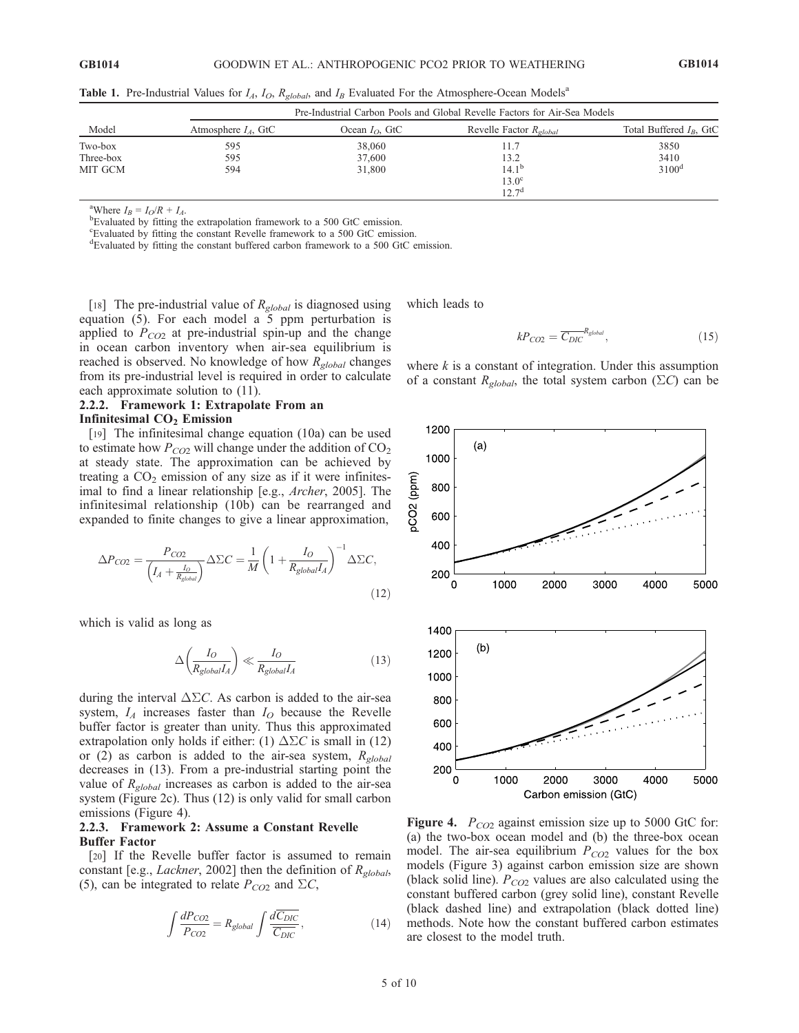| Model     | Pre-Industrial Carbon Pools and Global Revelle Factors for Air-Sea Models |                          |                                          |                            |
|-----------|---------------------------------------------------------------------------|--------------------------|------------------------------------------|----------------------------|
|           | Atmosphere $IA$ , GtC                                                     | Ocean $I_{\Omega}$ , GtC | Revelle Factor $R_{\alpha \beta \alpha}$ | Total Buffered $I_R$ , GtC |
| Two-box   | 595                                                                       | 38,060                   | 11.7                                     | 3850                       |
| Three-box | 595                                                                       | 37,600                   | 13.2                                     | 3410                       |
| MIT GCM   | 594                                                                       | 31,800                   | $14.1^{\rm b}$                           | $3100^d$                   |
|           |                                                                           |                          | $13.0^\circ$                             |                            |
|           |                                                                           |                          | $12.7^{\rm d}$                           |                            |

**Table 1.** Pre-Industrial Values for  $I_A$ ,  $I_O$ ,  $R_{global}$ , and  $I_B$  Evaluated For the Atmosphere-Ocean Models<sup>a</sup>

<sup>a</sup>Where  $I_B = I_O/R + I_A$ .

<sup>b</sup>Evaluated by fitting the extrapolation framework to a 500 GtC emission.

c Evaluated by fitting the constant Revelle framework to a 500 GtC emission.

d Evaluated by fitting the constant buffered carbon framework to a 500 GtC emission.

[18] The pre-industrial value of  $R_{global}$  is diagnosed using equation (5). For each model a 5 ppm perturbation is applied to  $P_{CO2}$  at pre-industrial spin-up and the change in ocean carbon inventory when air-sea equilibrium is reached is observed. No knowledge of how  $R_{global}$  changes from its pre-industrial level is required in order to calculate each approximate solution to (11).

# 2.2.2. Framework 1: Extrapolate From an Infinitesimal  $CO<sub>2</sub>$  Emission

[19] The infinitesimal change equation (10a) can be used to estimate how  $P_{CO2}$  will change under the addition of  $CO<sub>2</sub>$ at steady state. The approximation can be achieved by treating a  $CO<sub>2</sub>$  emission of any size as if it were infinitesimal to find a linear relationship [e.g., *Archer*, 2005]. The infinitesimal relationship (10b) can be rearranged and expanded to finite changes to give a linear approximation,

$$
\Delta P_{CO2} = \frac{P_{CO2}}{\left(I_A + \frac{I_O}{R_{global}}\right)} \Delta \Sigma C = \frac{1}{M} \left(1 + \frac{I_O}{R_{global}I_A}\right)^{-1} \Delta \Sigma C,
$$
\n(12)

which is valid as long as

$$
\Delta \left( \frac{I_O}{R_{global} I_A} \right) \ll \frac{I_O}{R_{global} I_A} \tag{13}
$$

during the interval  $\Delta \Sigma C$ . As carbon is added to the air-sea system,  $I_A$  increases faster than  $I_O$  because the Revelle buffer factor is greater than unity. Thus this approximated extrapolation only holds if either: (1)  $\Delta \Sigma C$  is small in (12) or (2) as carbon is added to the air-sea system,  $R_{global}$ decreases in (13). From a pre-industrial starting point the value of  $R_{global}$  increases as carbon is added to the air-sea system (Figure 2c). Thus (12) is only valid for small carbon emissions (Figure 4).

#### 2.2.3. Framework 2: Assume a Constant Revelle Buffer Factor

[20] If the Revelle buffer factor is assumed to remain constant [e.g., *Lackner*, 2002] then the definition of  $R_{elobal}$ , (5), can be integrated to relate  $P_{CO2}$  and  $\Sigma C$ ,

$$
\int \frac{dP_{CO2}}{P_{CO2}} = R_{global} \int \frac{d\overline{C_{DIC}}}{\overline{C_{DIC}}},
$$
\n(14)

which leads to

$$
kP_{CO2} = \overline{C_{DIC}}^{R_{global}},\tag{15}
$$

where  $k$  is a constant of integration. Under this assumption of a constant  $R_{global}$ , the total system carbon ( $\Sigma C$ ) can be



Figure 4.  $P_{CO2}$  against emission size up to 5000 GtC for: (a) the two-box ocean model and (b) the three-box ocean model. The air-sea equilibrium  $P_{CO2}$  values for the box models (Figure 3) against carbon emission size are shown (black solid line).  $P_{CO2}$  values are also calculated using the constant buffered carbon (grey solid line), constant Revelle (black dashed line) and extrapolation (black dotted line) methods. Note how the constant buffered carbon estimates are closest to the model truth.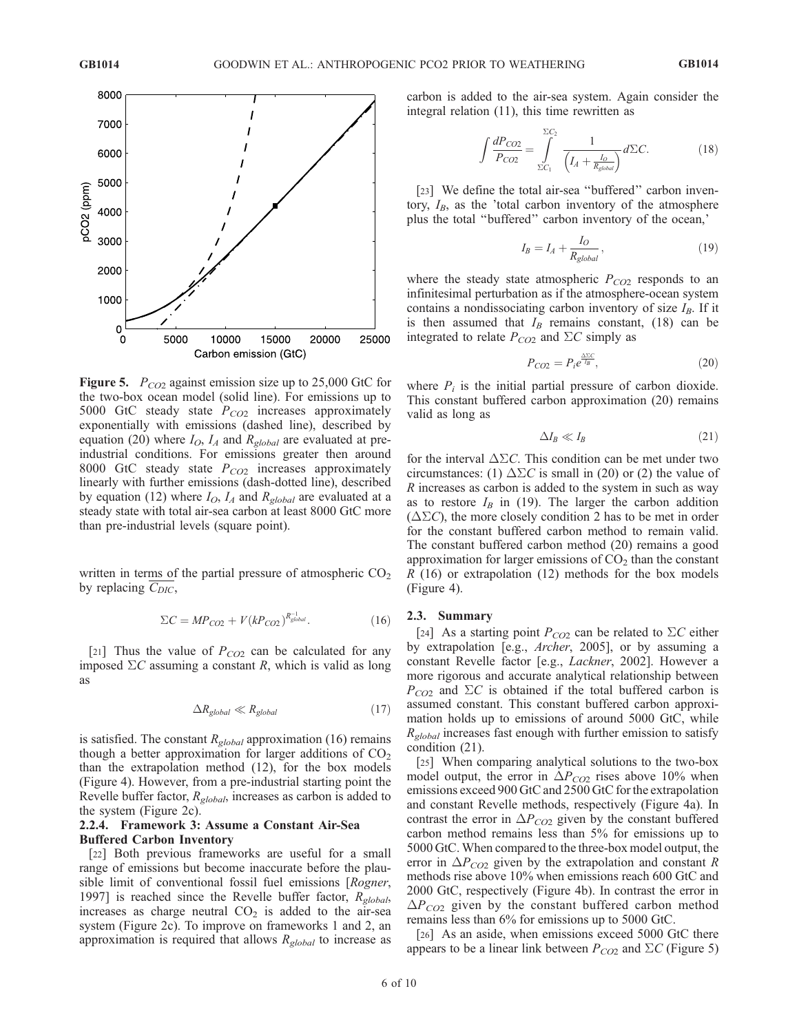

**Figure 5.**  $P_{CO2}$  against emission size up to 25,000 GtC for the two-box ocean model (solid line). For emissions up to 5000 GtC steady state  $P_{CO2}$  increases approximately exponentially with emissions (dashed line), described by equation (20) where  $I_O$ ,  $I_A$  and  $R_{global}$  are evaluated at preindustrial conditions. For emissions greater then around 8000 GtC steady state  $P_{CO2}$  increases approximately linearly with further emissions (dash-dotted line), described by equation (12) where  $I_O$ ,  $I_A$  and  $R_{global}$  are evaluated at a steady state with total air-sea carbon at least 8000 GtC more than pre-industrial levels (square point).

written in terms of the partial pressure of atmospheric  $CO<sub>2</sub>$ by replacing  $C_{DIC}$ ,

$$
\Sigma C = M P_{CO2} + V (k P_{CO2})^{R_{global}^{-1}}.
$$
 (16)

[21] Thus the value of  $P_{CO2}$  can be calculated for any imposed  $\Sigma C$  assuming a constant R, which is valid as long as

$$
\Delta R_{global} \ll R_{global} \tag{17}
$$

is satisfied. The constant  $R_{global}$  approximation (16) remains though a better approximation for larger additions of  $CO<sub>2</sub>$ than the extrapolation method (12), for the box models (Figure 4). However, from a pre-industrial starting point the Revelle buffer factor,  $R_{global}$ , increases as carbon is added to the system (Figure 2c).

#### 2.2.4. Framework 3: Assume a Constant Air-Sea Buffered Carbon Inventory

[22] Both previous frameworks are useful for a small range of emissions but become inaccurate before the plausible limit of conventional fossil fuel emissions [Rogner, 1997] is reached since the Revelle buffer factor,  $R_{global}$ , increases as charge neutral  $CO<sub>2</sub>$  is added to the air-sea system (Figure 2c). To improve on frameworks 1 and 2, an approximation is required that allows  $R_{global}$  to increase as carbon is added to the air-sea system. Again consider the integral relation (11), this time rewritten as

$$
\int \frac{dP_{CO2}}{P_{CO2}} = \int_{\Sigma C_1}^{\Sigma C_2} \frac{1}{\left(I_A + \frac{I_O}{R_{global}}\right)} d\Sigma C.
$$
 (18)

[23] We define the total air-sea "buffered" carbon inventory,  $I_B$ , as the 'total carbon inventory of the atmosphere plus the total ''buffered'' carbon inventory of the ocean,'

$$
I_B = I_A + \frac{I_O}{R_{global}},\tag{19}
$$

where the steady state atmospheric  $P_{CO2}$  responds to an infinitesimal perturbation as if the atmosphere-ocean system contains a nondissociating carbon inventory of size  $I_B$ . If it is then assumed that  $I_B$  remains constant, (18) can be integrated to relate  $P_{CO2}$  and  $\Sigma C$  simply as

$$
P_{CO2} = P_i e^{\frac{\Delta \Sigma C}{I_B}},\tag{20}
$$

where  $P_i$  is the initial partial pressure of carbon dioxide. This constant buffered carbon approximation (20) remains valid as long as

$$
\Delta I_B \ll I_B \tag{21}
$$

for the interval  $\Delta \Sigma C$ . This condition can be met under two circumstances: (1)  $\Delta \Sigma C$  is small in (20) or (2) the value of R increases as carbon is added to the system in such as way as to restore  $I_B$  in (19). The larger the carbon addition  $(\Delta \Sigma C)$ , the more closely condition 2 has to be met in order for the constant buffered carbon method to remain valid. The constant buffered carbon method (20) remains a good approximation for larger emissions of  $CO<sub>2</sub>$  than the constant  $R(16)$  or extrapolation  $(12)$  methods for the box models (Figure 4).

#### 2.3. Summary

[24] As a starting point  $P_{CO2}$  can be related to  $\Sigma C$  either by extrapolation [e.g., Archer, 2005], or by assuming a constant Revelle factor [e.g., Lackner, 2002]. However a more rigorous and accurate analytical relationship between  $P_{CO2}$  and  $\Sigma C$  is obtained if the total buffered carbon is assumed constant. This constant buffered carbon approximation holds up to emissions of around 5000 GtC, while  $R_{global}$  increases fast enough with further emission to satisfy condition (21).

[25] When comparing analytical solutions to the two-box model output, the error in  $\Delta P_{CO2}$  rises above 10% when emissions exceed 900 GtC and 2500 GtC for the extrapolation and constant Revelle methods, respectively (Figure 4a). In contrast the error in  $\Delta P_{CO2}$  given by the constant buffered carbon method remains less than 5% for emissions up to 5000 GtC. When compared to the three-box model output, the error in  $\Delta P_{CO2}$  given by the extrapolation and constant R methods rise above 10% when emissions reach 600 GtC and 2000 GtC, respectively (Figure 4b). In contrast the error in  $\Delta P_{CO2}$  given by the constant buffered carbon method remains less than 6% for emissions up to 5000 GtC.

[26] As an aside, when emissions exceed 5000 GtC there appears to be a linear link between  $P_{CO2}$  and  $\Sigma C$  (Figure 5)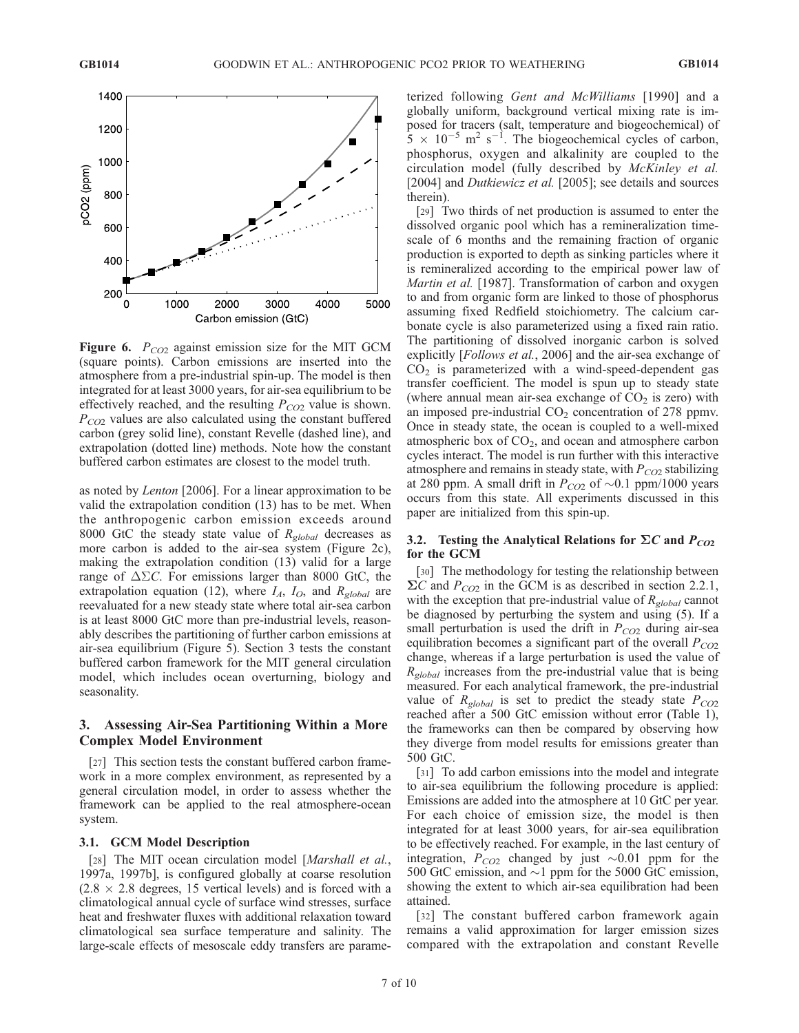

**Figure 6.**  $P_{CO2}$  against emission size for the MIT GCM (square points). Carbon emissions are inserted into the atmosphere from a pre-industrial spin-up. The model is then integrated for at least 3000 years, for air-sea equilibrium to be effectively reached, and the resulting  $P_{CO2}$  value is shown.  $P_{CO2}$  values are also calculated using the constant buffered carbon (grey solid line), constant Revelle (dashed line), and extrapolation (dotted line) methods. Note how the constant buffered carbon estimates are closest to the model truth.

as noted by Lenton [2006]. For a linear approximation to be valid the extrapolation condition (13) has to be met. When the anthropogenic carbon emission exceeds around 8000 GtC the steady state value of  $R_{global}$  decreases as more carbon is added to the air-sea system (Figure 2c), making the extrapolation condition (13) valid for a large range of  $\Delta \Sigma C$ . For emissions larger than 8000 GtC, the extrapolation equation (12), where  $I_A$ ,  $I_O$ , and  $R_{global}$  are reevaluated for a new steady state where total air-sea carbon is at least 8000 GtC more than pre-industrial levels, reasonably describes the partitioning of further carbon emissions at air-sea equilibrium (Figure 5). Section 3 tests the constant buffered carbon framework for the MIT general circulation model, which includes ocean overturning, biology and seasonality.

# 3. Assessing Air-Sea Partitioning Within a More Complex Model Environment

[27] This section tests the constant buffered carbon framework in a more complex environment, as represented by a general circulation model, in order to assess whether the framework can be applied to the real atmosphere-ocean system.

#### 3.1. GCM Model Description

[28] The MIT ocean circulation model [Marshall et al., 1997a, 1997b], is configured globally at coarse resolution  $(2.8 \times 2.8$  degrees, 15 vertical levels) and is forced with a climatological annual cycle of surface wind stresses, surface heat and freshwater fluxes with additional relaxation toward climatological sea surface temperature and salinity. The large-scale effects of mesoscale eddy transfers are parameterized following Gent and McWilliams [1990] and a globally uniform, background vertical mixing rate is imposed for tracers (salt, temperature and biogeochemical) of  $5 \times 10^{-5}$  m<sup>2</sup> s<sup>-1</sup>. The biogeochemical cycles of carbon, phosphorus, oxygen and alkalinity are coupled to the circulation model (fully described by McKinley et al. [2004] and *Dutkiewicz et al.* [2005]; see details and sources therein).

[29] Two thirds of net production is assumed to enter the dissolved organic pool which has a remineralization timescale of 6 months and the remaining fraction of organic production is exported to depth as sinking particles where it is remineralized according to the empirical power law of Martin et al. [1987]. Transformation of carbon and oxygen to and from organic form are linked to those of phosphorus assuming fixed Redfield stoichiometry. The calcium carbonate cycle is also parameterized using a fixed rain ratio. The partitioning of dissolved inorganic carbon is solved explicitly [Follows et al., 2006] and the air-sea exchange of  $CO<sub>2</sub>$  is parameterized with a wind-speed-dependent gas transfer coefficient. The model is spun up to steady state (where annual mean air-sea exchange of  $CO<sub>2</sub>$  is zero) with an imposed pre-industrial  $CO<sub>2</sub>$  concentration of 278 ppmv. Once in steady state, the ocean is coupled to a well-mixed atmospheric box of  $CO<sub>2</sub>$ , and ocean and atmosphere carbon cycles interact. The model is run further with this interactive atmosphere and remains in steady state, with  $P_{CO2}$  stabilizing at 280 ppm. A small drift in  $P_{CO2}$  of  $\sim 0.1$  ppm/1000 years occurs from this state. All experiments discussed in this paper are initialized from this spin-up.

#### 3.2. Testing the Analytical Relations for  $\Sigma C$  and  $P_{CO2}$ for the GCM

[30] The methodology for testing the relationship between  $\Sigma C$  and  $P_{CO2}$  in the GCM is as described in section 2.2.1, with the exception that pre-industrial value of  $R_{global}$  cannot be diagnosed by perturbing the system and using (5). If a small perturbation is used the drift in  $P_{CO2}$  during air-sea equilibration becomes a significant part of the overall  $P_{CO2}$ change, whereas if a large perturbation is used the value of  $R_{global}$  increases from the pre-industrial value that is being measured. For each analytical framework, the pre-industrial value of  $R_{global}$  is set to predict the steady state  $P_{CO2}$ reached after a 500 GtC emission without error (Table 1), the frameworks can then be compared by observing how they diverge from model results for emissions greater than 500 GtC.

[31] To add carbon emissions into the model and integrate to air-sea equilibrium the following procedure is applied: Emissions are added into the atmosphere at 10 GtC per year. For each choice of emission size, the model is then integrated for at least 3000 years, for air-sea equilibration to be effectively reached. For example, in the last century of integration,  $P_{CO2}$  changed by just  $\sim 0.01$  ppm for the 500 GtC emission, and  $\sim$ 1 ppm for the 5000 GtC emission, showing the extent to which air-sea equilibration had been attained.

[32] The constant buffered carbon framework again remains a valid approximation for larger emission sizes compared with the extrapolation and constant Revelle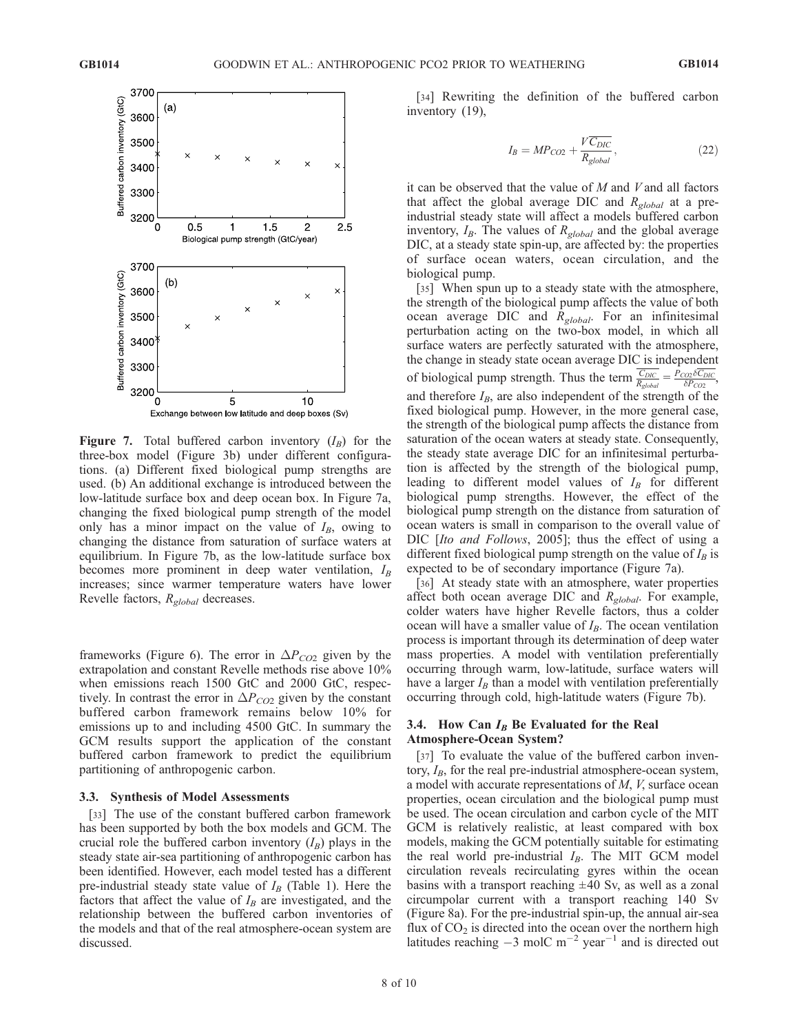

**Figure 7.** Total buffered carbon inventory  $(I_B)$  for the three-box model (Figure 3b) under different configurations. (a) Different fixed biological pump strengths are used. (b) An additional exchange is introduced between the low-latitude surface box and deep ocean box. In Figure 7a, changing the fixed biological pump strength of the model only has a minor impact on the value of  $I_B$ , owing to changing the distance from saturation of surface waters at equilibrium. In Figure 7b, as the low-latitude surface box becomes more prominent in deep water ventilation,  $I_B$ increases; since warmer temperature waters have lower Revelle factors,  $R_{global}$  decreases.

frameworks (Figure 6). The error in  $\Delta P_{CO2}$  given by the extrapolation and constant Revelle methods rise above 10% when emissions reach 1500 GtC and 2000 GtC, respectively. In contrast the error in  $\Delta P_{CO2}$  given by the constant buffered carbon framework remains below 10% for emissions up to and including 4500 GtC. In summary the GCM results support the application of the constant buffered carbon framework to predict the equilibrium partitioning of anthropogenic carbon.

#### 3.3. Synthesis of Model Assessments

[33] The use of the constant buffered carbon framework has been supported by both the box models and GCM. The crucial role the buffered carbon inventory  $(I_B)$  plays in the steady state air-sea partitioning of anthropogenic carbon has been identified. However, each model tested has a different pre-industrial steady state value of  $I_B$  (Table 1). Here the factors that affect the value of  $I_B$  are investigated, and the relationship between the buffered carbon inventories of the models and that of the real atmosphere-ocean system are discussed.

[34] Rewriting the definition of the buffered carbon inventory (19),

$$
I_B = MP_{CO2} + \frac{V\overline{C_{DIC}}}{R_{global}},
$$
\n(22)

it can be observed that the value of  $M$  and  $V$  and all factors that affect the global average DIC and  $R_{global}$  at a preindustrial steady state will affect a models buffered carbon inventory,  $I_B$ . The values of  $R_{global}$  and the global average DIC, at a steady state spin-up, are affected by: the properties of surface ocean waters, ocean circulation, and the biological pump.

[35] When spun up to a steady state with the atmosphere, the strength of the biological pump affects the value of both ocean average DIC and  $R_{global}$ . For an infinitesimal perturbation acting on the two-box model, in which all surface waters are perfectly saturated with the atmosphere, the change in steady state ocean average DIC is independent of biological pump strength. Thus the term  $\frac{C_{DIC}}{R_{global}} = \frac{P_{COD} \delta C_{DIC}}{\delta P_{CO2}}$ , and therefore  $I_B$ , are also independent of the strength of the fixed biological pump. However, in the more general case, the strength of the biological pump affects the distance from saturation of the ocean waters at steady state. Consequently, the steady state average DIC for an infinitesimal perturbation is affected by the strength of the biological pump, leading to different model values of  $I_B$  for different biological pump strengths. However, the effect of the biological pump strength on the distance from saturation of ocean waters is small in comparison to the overall value of DIC *[Ito and Follows, 2005]*; thus the effect of using a different fixed biological pump strength on the value of  $I_B$  is expected to be of secondary importance (Figure 7a).

[36] At steady state with an atmosphere, water properties affect both ocean average DIC and  $R_{global}$ . For example, colder waters have higher Revelle factors, thus a colder ocean will have a smaller value of  $I_B$ . The ocean ventilation process is important through its determination of deep water mass properties. A model with ventilation preferentially occurring through warm, low-latitude, surface waters will have a larger  $I_B$  than a model with ventilation preferentially occurring through cold, high-latitude waters (Figure 7b).

# 3.4. How Can  $I_B$  Be Evaluated for the Real Atmosphere-Ocean System?

[37] To evaluate the value of the buffered carbon inventory,  $I_B$ , for the real pre-industrial atmosphere-ocean system, a model with accurate representations of  $M$ ,  $V$ , surface ocean properties, ocean circulation and the biological pump must be used. The ocean circulation and carbon cycle of the MIT GCM is relatively realistic, at least compared with box models, making the GCM potentially suitable for estimating the real world pre-industrial  $I_B$ . The MIT GCM model circulation reveals recirculating gyres within the ocean basins with a transport reaching  $\pm 40$  Sv, as well as a zonal circumpolar current with a transport reaching 140 Sv (Figure 8a). For the pre-industrial spin-up, the annual air-sea flux of  $CO<sub>2</sub>$  is directed into the ocean over the northern high latitudes reaching  $-3$  molC m<sup>-2</sup> year<sup>-1</sup> and is directed out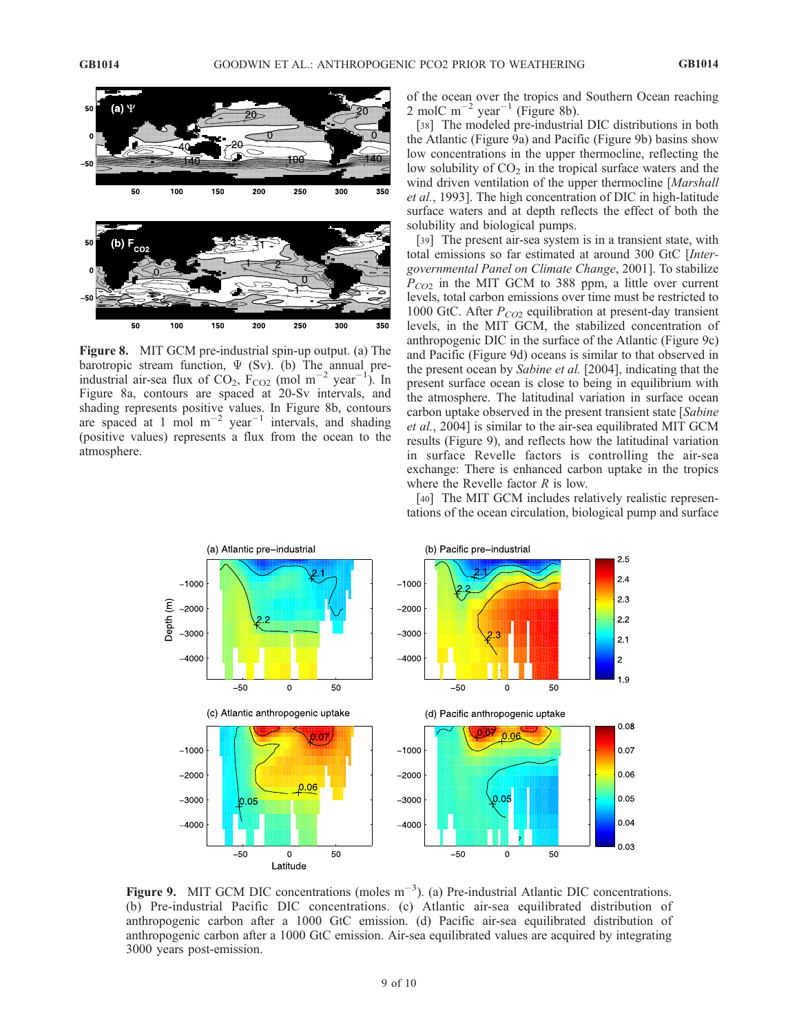

Figure 8. MIT GCM pre-industrial spin-up output. (a) The barotropic stream function,  $\Psi$  (Sv). (b) The annual preindustrial air-sea flux of  $CO_2$ ,  $F_{CO2}$  (mol m<sup>-2</sup> year<sup>-1</sup>). In Figure 8a, contours are spaced at 20-Sv intervals, and shading represents positive values. In Figure 8b, contours are spaced at 1 mol  $m^{-2}$  year<sup>-1</sup> intervals, and shading (positive values) represents a flux from the ocean to the atmosphere.

of the ocean over the tropics and Southern Ocean reaching 2 molC m<sup>-2</sup> year<sup>-1</sup> (Figure 8b).

[38] The modeled pre-industrial DIC distributions in both the Atlantic (Figure 9a) and Pacific (Figure 9b) basins show low concentrations in the upper thermocline, reflecting the low solubility of  $CO<sub>2</sub>$  in the tropical surface waters and the wind driven ventilation of the upper thermocline [Marshall et al., 1993]. The high concentration of DIC in high-latitude surface waters and at depth reflects the effect of both the solubility and biological pumps.

[39] The present air-sea system is in a transient state, with total emissions so far estimated at around 300 GtC [Intergovernmental Panel on Climate Change, 2001]. To stabilize  $P_{CO2}$  in the MIT GCM to 388 ppm, a little over current levels, total carbon emissions over time must be restricted to 1000 GtC. After  $P_{CO2}$  equilibration at present-day transient levels, in the MIT GCM, the stabilized concentration of anthropogenic DIC in the surface of the Atlantic (Figure 9c) and Pacific (Figure 9d) oceans is similar to that observed in the present ocean by Sabine et al. [2004], indicating that the present surface ocean is close to being in equilibrium with the atmosphere. The latitudinal variation in surface ocean carbon uptake observed in the present transient state [*Sabine*] et al., 2004] is similar to the air-sea equilibrated MIT GCM results (Figure 9), and reflects how the latitudinal variation in surface Revelle factors is controlling the air-sea exchange: There is enhanced carbon uptake in the tropics where the Revelle factor  $R$  is low.

[40] The MIT GCM includes relatively realistic representations of the ocean circulation, biological pump and surface



Figure 9. MIT GCM DIC concentrations (moles  $m^{-3}$ ). (a) Pre-industrial Atlantic DIC concentrations. (b) Pre-industrial Pacific DIC concentrations. (c) Atlantic air-sea equilibrated distribution of anthropogenic carbon after a 1000 GtC emission. (d) Pacific air-sea equilibrated distribution of anthropogenic carbon after a 1000 GtC emission. Air-sea equilibrated values are acquired by integrating 3000 years post-emission.